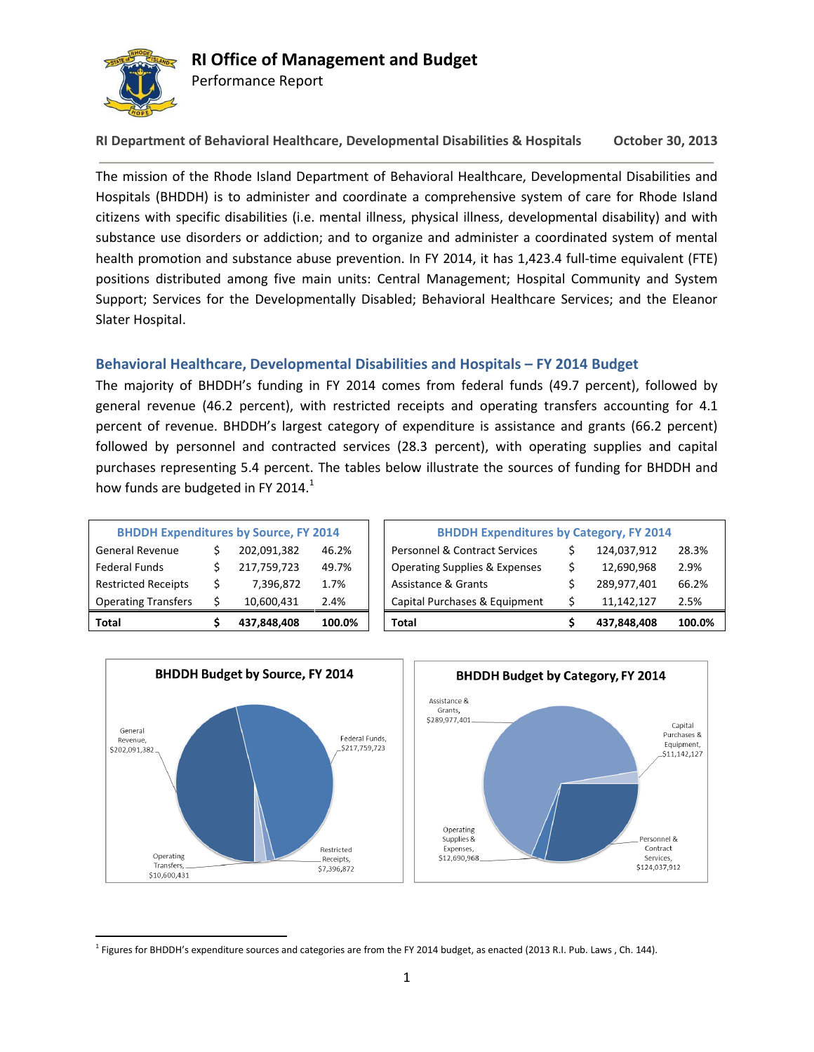

## **RI Office of Management and Budget**

Performance Report

**RI Department of Behavioral Healthcare, Developmental Disabilities & Hospitals October 30, 2013**

The mission of the Rhode Island Department of Behavioral Healthcare, Developmental Disabilities and Hospitals (BHDDH) is to administer and coordinate a comprehensive system of care for Rhode Island citizens with specific disabilities (i.e. mental illness, physical illness, developmental disability) and with substance use disorders or addiction; and to organize and administer a coordinated system of mental health promotion and substance abuse prevention. In FY 2014, it has 1,423.4 full-time equivalent (FTE) positions distributed among five main units: Central Management; Hospital Community and System Support; Services for the Developmentally Disabled; Behavioral Healthcare Services; and the Eleanor Slater Hospital.

### **Behavioral Healthcare, Developmental Disabilities and Hospitals – FY 2014 Budget**

The majority of BHDDH's funding in FY 2014 comes from federal funds (49.7 percent), followed by general revenue (46.2 percent), with restricted receipts and operating transfers accounting for 4.1 percent of revenue. BHDDH's largest category of expenditure is assistance and grants (66.2 percent) followed by personnel and contracted services (28.3 percent), with operating supplies and capital purchases representing 5.4 percent. The tables below illustrate the sources of funding for BHDDH and how funds are budgeted in FY 2014. $<sup>1</sup>$ </sup>

| <b>BHDDH Expenditures by Source, FY 2014</b> |   |             |        |  |  |  |  |  |  |
|----------------------------------------------|---|-------------|--------|--|--|--|--|--|--|
| <b>General Revenue</b>                       | Ś | 202,091,382 | 46.2%  |  |  |  |  |  |  |
| <b>Federal Funds</b>                         | Ś | 217,759,723 | 49.7%  |  |  |  |  |  |  |
| <b>Restricted Receipts</b>                   | Ś | 7,396,872   | 1.7%   |  |  |  |  |  |  |
| <b>Operating Transfers</b>                   | Ś | 10,600,431  | 2.4%   |  |  |  |  |  |  |
| Total                                        |   | 437,848,408 | 100.0% |  |  |  |  |  |  |

| Total                                        | 437,848,408 | 100.0% | <b>Total</b>                                   | 437,848,408 | 100.0% |
|----------------------------------------------|-------------|--------|------------------------------------------------|-------------|--------|
| <b>Operating Transfers</b>                   | 10,600,431  | 2.4%   | Capital Purchases & Equipment                  | 11.142.127  | 2.5%   |
| <b>Restricted Receipts</b>                   | 7,396,872   | 1.7%   | Assistance & Grants                            | 289,977,401 | 66.2%  |
| Federal Funds                                | 217,759,723 | 49.7%  | <b>Operating Supplies &amp; Expenses</b>       | 12,690,968  | 2.9%   |
| General Revenue                              | 202,091,382 | 46.2%  | <b>Personnel &amp; Contract Services</b>       | 124,037,912 | 28.3%  |
| <b>BHDDH Expenditures by Source, FY 2014</b> |             |        | <b>BHDDH Expenditures by Category, FY 2014</b> |             |        |



l <sup>1</sup> Figures for BHDDH's expenditure sources and categories are from the FY 2014 budget, as enacted (2013 R.I. Pub. Laws , Ch. 144).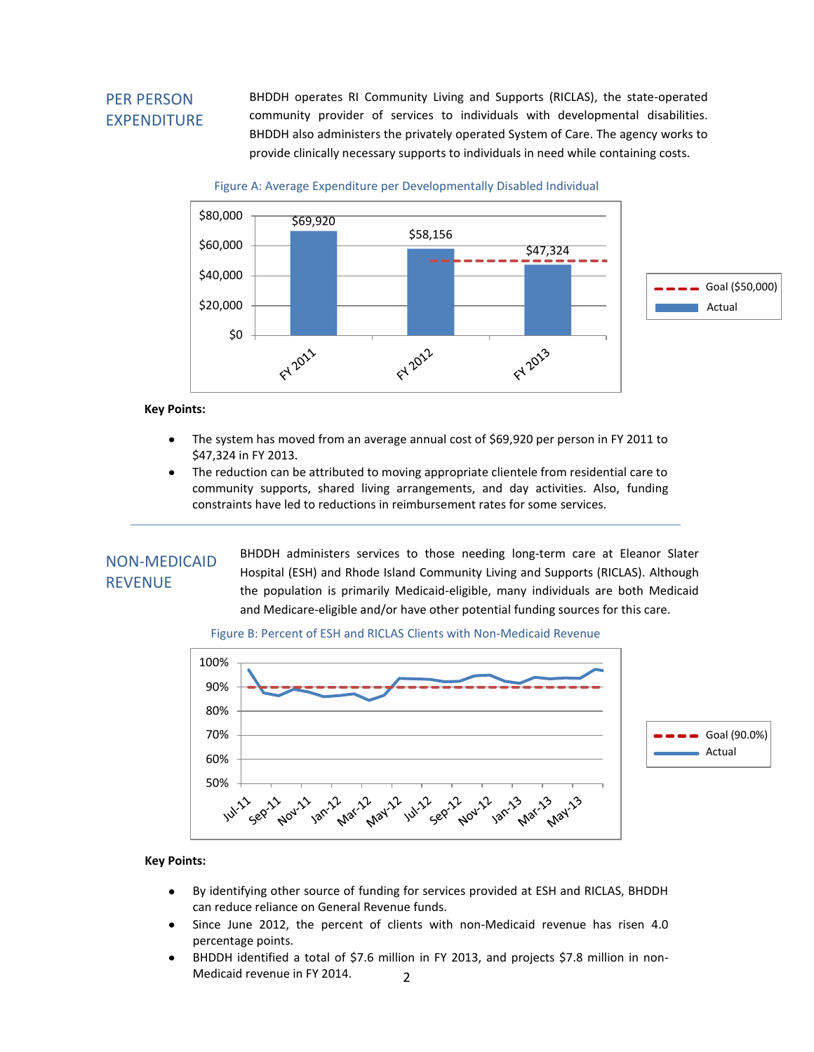## PER PERSON EXPENDITURE

BHDDH operates RI Community Living and Supports (RICLAS), the state-operated community provider of services to individuals with developmental disabilities. BHDDH also administers the privately operated System of Care. The agency works to provide clinically necessary supports to individuals in need while containing costs.

Figure A: Average Expenditure per Developmentally Disabled Individual



#### **Key Points:**

- The system has moved from an average annual cost of \$69,920 per person in FY 2011 to \$47,324 in FY 2013.
- The reduction can be attributed to moving appropriate clientele from residential care to community supports, shared living arrangements, and day activities. Also, funding constraints have led to reductions in reimbursement rates for some services.

### NON-MEDICAID REVENUE

BHDDH administers services to those needing long-term care at Eleanor Slater Hospital (ESH) and Rhode Island Community Living and Supports (RICLAS). Although the population is primarily Medicaid-eligible, many individuals are both Medicaid and Medicare-eligible and/or have other potential funding sources for this care.

#### Figure B: Percent of ESH and RICLAS Clients with Non-Medicaid Revenue



- By identifying other source of funding for services provided at ESH and RICLAS, BHDDH  $\bullet$ can reduce reliance on General Revenue funds.
- Since June 2012, the percent of clients with non-Medicaid revenue has risen 4.0  $\bullet$ percentage points.
- 2 BHDDH identified a total of \$7.6 million in FY 2013, and projects \$7.8 million in non-Medicaid revenue in FY 2014.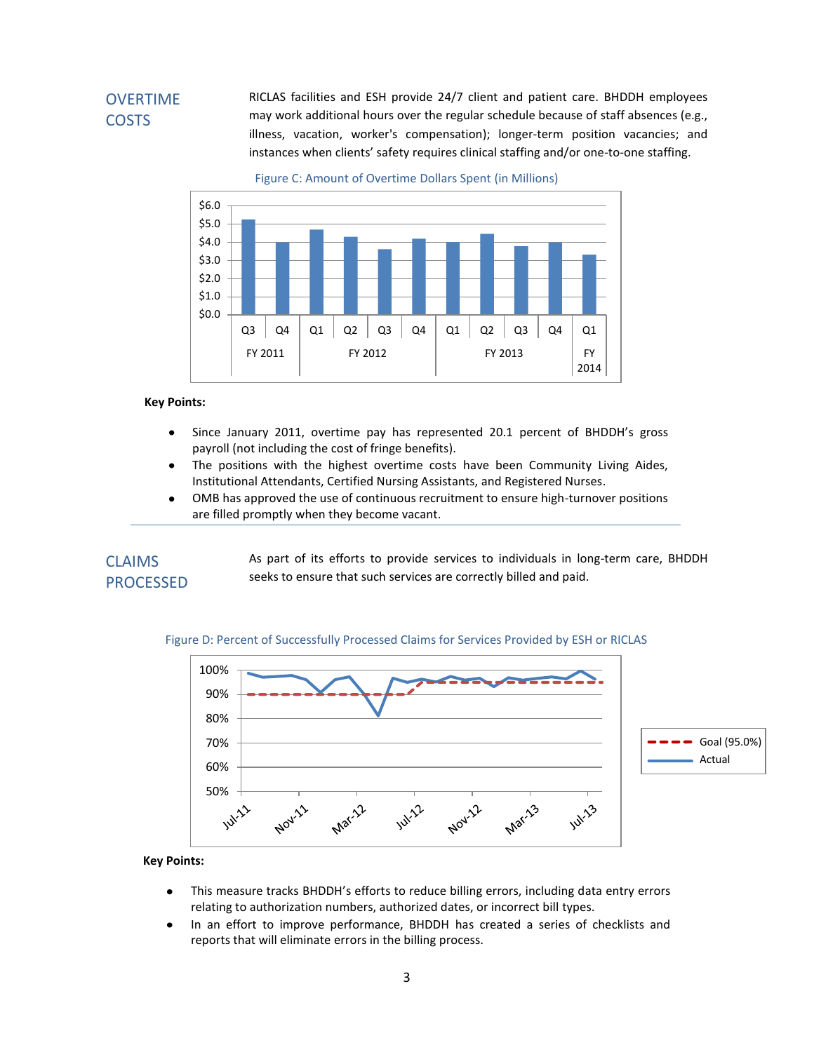## OVERTIME **COSTS**

RICLAS facilities and ESH provide 24/7 client and patient care. BHDDH employees may work additional hours over the regular schedule because of staff absences (e.g., illness, vacation, worker's compensation); longer-term position vacancies; and instances when clients' safety requires clinical staffing and/or one-to-one staffing.

Figure C: Amount of Overtime Dollars Spent (in Millions)



#### **Key Points:**

- Since January 2011, overtime pay has represented 20.1 percent of BHDDH's gross  $\bullet$ payroll (not including the cost of fringe benefits).
- The positions with the highest overtime costs have been Community Living Aides,  $\bullet$ Institutional Attendants, Certified Nursing Assistants, and Registered Nurses.
- $\bullet$ OMB has approved the use of continuous recruitment to ensure high-turnover positions are filled promptly when they become vacant.

### CLAIMS PROCESSED

As part of its efforts to provide services to individuals in long-term care, BHDDH seeks to ensure that such services are correctly billed and paid.



#### Figure D: Percent of Successfully Processed Claims for Services Provided by ESH or RICLAS

- This measure tracks BHDDH's efforts to reduce billing errors, including data entry errors  $\bullet$ relating to authorization numbers, authorized dates, or incorrect bill types.
- In an effort to improve performance, BHDDH has created a series of checklists and  $\bullet$ reports that will eliminate errors in the billing process.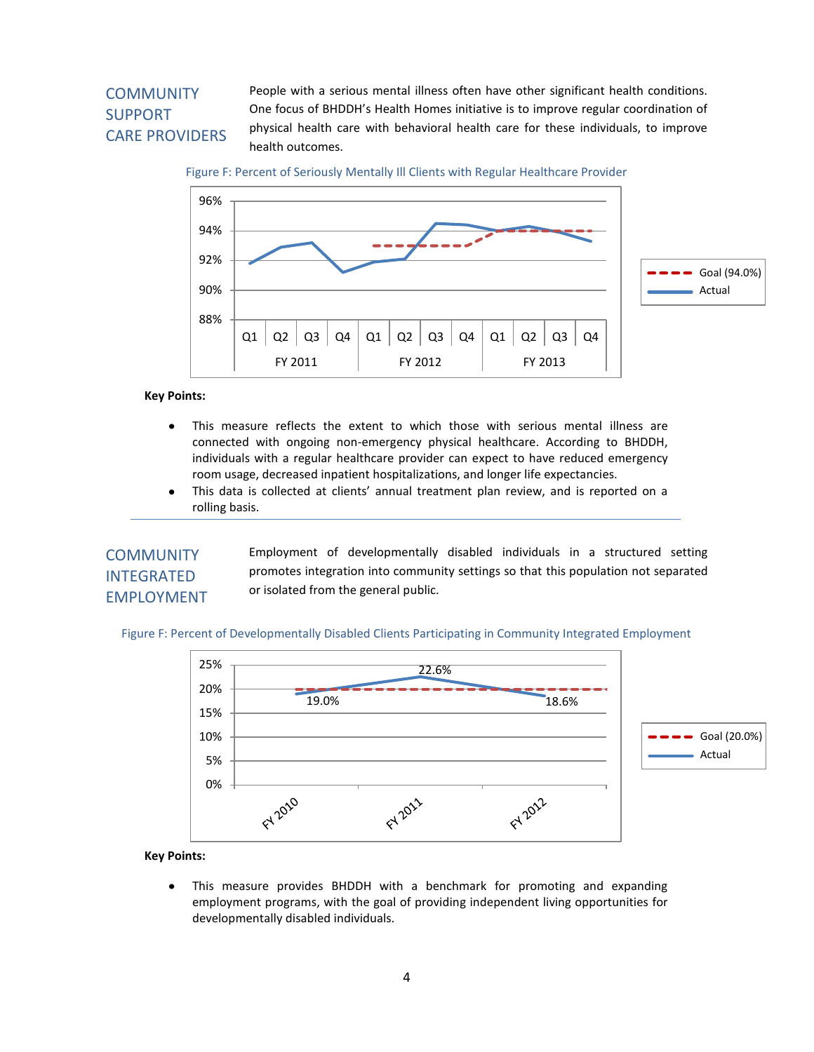# **COMMUNITY** SUPPORT CARE PROVIDERS

People with a serious mental illness often have other significant health conditions. One focus of BHDDH's Health Homes initiative is to improve regular coordination of physical health care with behavioral health care for these individuals, to improve health outcomes.



Figure F: Percent of Seriously Mentally Ill Clients with Regular Healthcare Provider

#### **Key Points:**

- This measure reflects the extent to which those with serious mental illness are  $\bullet$ connected with ongoing non-emergency physical healthcare. According to BHDDH, individuals with a regular healthcare provider can expect to have reduced emergency room usage, decreased inpatient hospitalizations, and longer life expectancies.
- $\bullet$ This data is collected at clients' annual treatment plan review, and is reported on a rolling basis.

## **COMMUNITY** INTEGRATED EMPLOYMENT

Employment of developmentally disabled individuals in a structured setting promotes integration into community settings so that this population not separated or isolated from the general public.

Figure F: Percent of Developmentally Disabled Clients Participating in Community Integrated Employment



#### **Key Points:**

 $\bullet$ This measure provides BHDDH with a benchmark for promoting and expanding employment programs, with the goal of providing independent living opportunities for developmentally disabled individuals.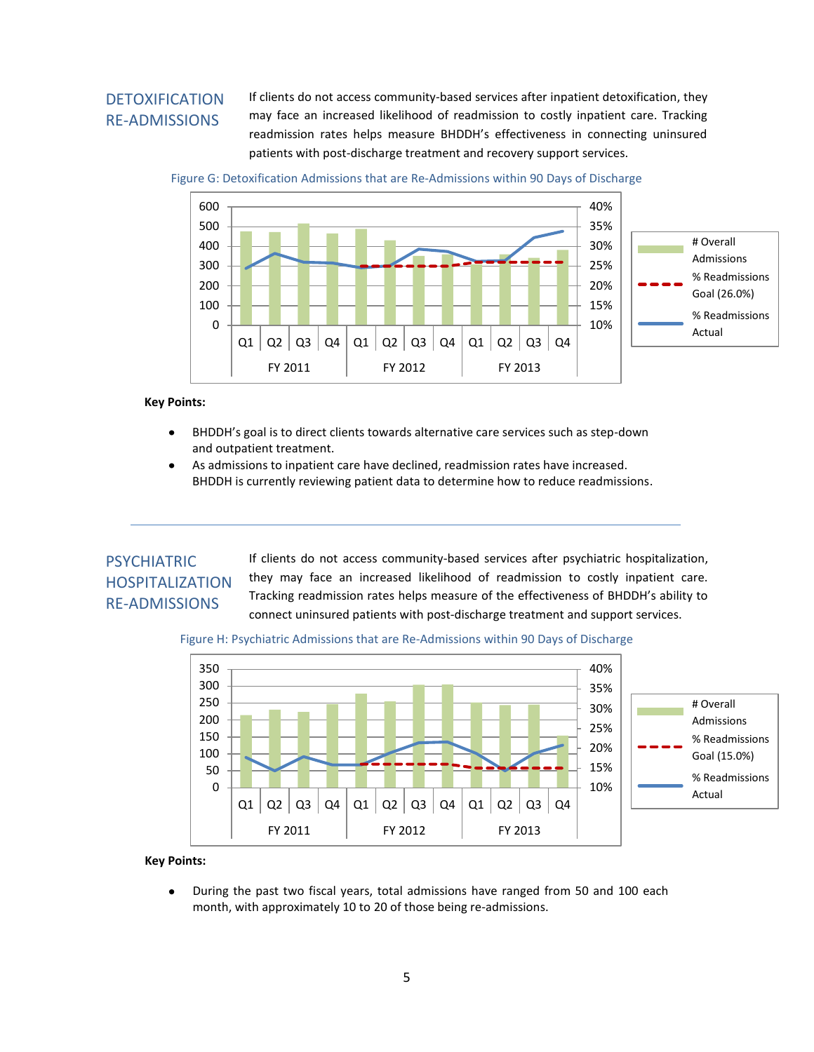### DETOXIFICATION RE-ADMISSIONS

If clients do not access community-based services after inpatient detoxification, they may face an increased likelihood of readmission to costly inpatient care. Tracking readmission rates helps measure BHDDH's effectiveness in connecting uninsured patients with post-discharge treatment and recovery support services.

Figure G: Detoxification Admissions that are Re-Admissions within 90 Days of Discharge



#### **Key Points:**

- BHDDH's goal is to direct clients towards alternative care services such as step-down and outpatient treatment.
- As admissions to inpatient care have declined, readmission rates have increased.  $\bullet$ BHDDH is currently reviewing patient data to determine how to reduce readmissions.

# PSYCHIATRIC HOSPITALIZATION RE-ADMISSIONS

If clients do not access community-based services after psychiatric hospitalization, they may face an increased likelihood of readmission to costly inpatient care. Tracking readmission rates helps measure of the effectiveness of BHDDH's ability to connect uninsured patients with post-discharge treatment and support services.

#### Figure H: Psychiatric Admissions that are Re-Admissions within 90 Days of Discharge



### **Key Points:**

During the past two fiscal years, total admissions have ranged from 50 and 100 each month, with approximately 10 to 20 of those being re-admissions.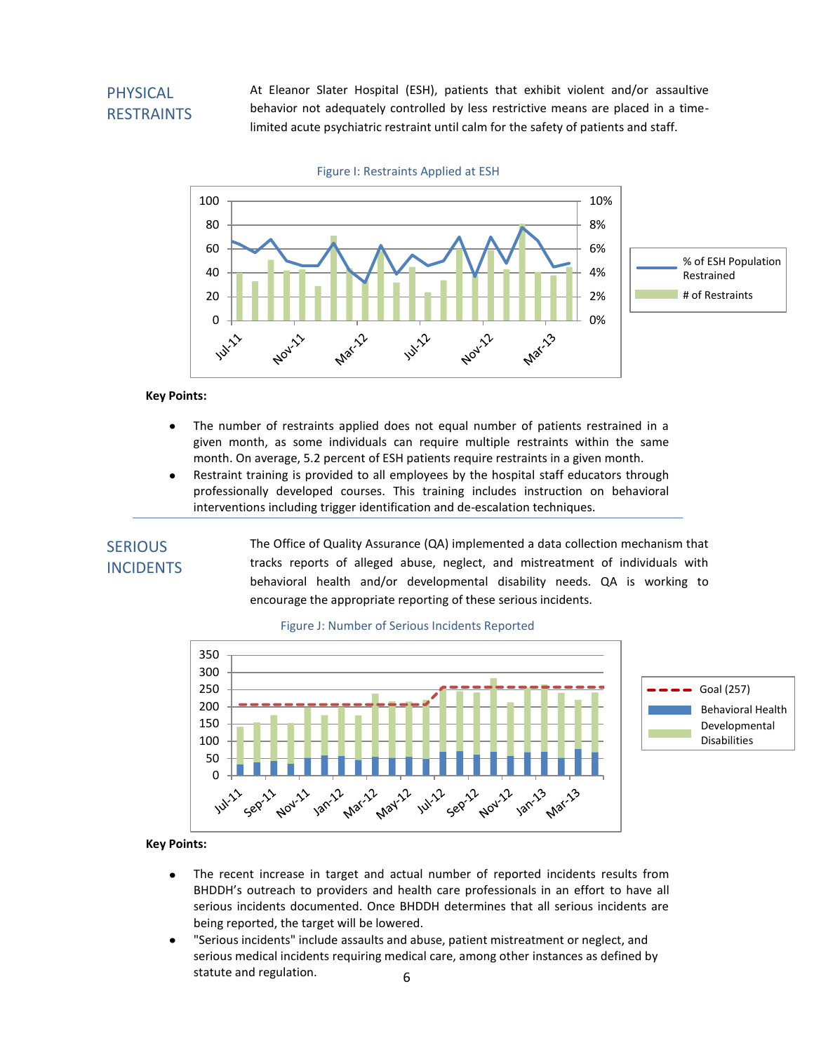## PHYSICAL RESTRAINTS

At Eleanor Slater Hospital (ESH), patients that exhibit violent and/or assaultive behavior not adequately controlled by less restrictive means are placed in a timelimited acute psychiatric restraint until calm for the safety of patients and staff.



Figure I: Restraints Applied at ESH

#### **Key Points:**

- The number of restraints applied does not equal number of patients restrained in a given month, as some individuals can require multiple restraints within the same month. On average, 5.2 percent of ESH patients require restraints in a given month.
- Restraint training is provided to all employees by the hospital staff educators through professionally developed courses. This training includes instruction on behavioral interventions including trigger identification and de-escalation techniques.

### **SERIOUS INCIDENTS**

The Office of Quality Assurance (QA) implemented a data collection mechanism that tracks reports of alleged abuse, neglect, and mistreatment of individuals with behavioral health and/or developmental disability needs. QA is working to encourage the appropriate reporting of these serious incidents.



#### Figure J: Number of Serious Incidents Reported

- The recent increase in target and actual number of reported incidents results from BHDDH's outreach to providers and health care professionals in an effort to have all serious incidents documented. Once BHDDH determines that all serious incidents are being reported, the target will be lowered.
- 6 "Serious incidents" include assaults and abuse, patient mistreatment or neglect, and serious medical incidents requiring medical care, among other instances as defined by statute and regulation.